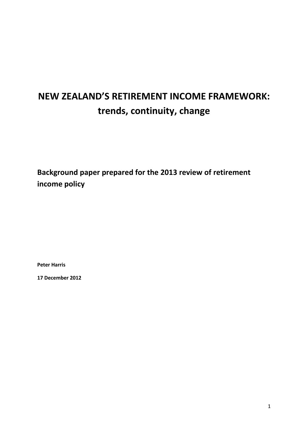# **NEW ZEALAND'S RETIREMENT INCOME FRAMEWORK: trends, continuity, change**

**Background paper prepared for the 2013 review of retirement income policy**

**Peter Harris**

**17 December 2012**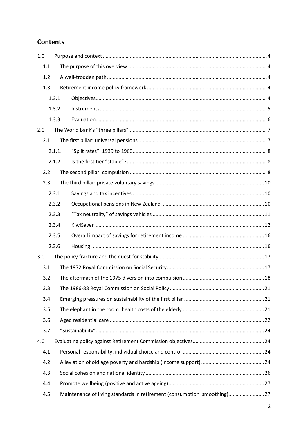## **Contents**

| 1.0 |                                                                         |  |  |  |  |  |  |  |
|-----|-------------------------------------------------------------------------|--|--|--|--|--|--|--|
| 1.1 |                                                                         |  |  |  |  |  |  |  |
| 1.2 |                                                                         |  |  |  |  |  |  |  |
| 1.3 |                                                                         |  |  |  |  |  |  |  |
|     | 1.3.1                                                                   |  |  |  |  |  |  |  |
|     | 1.3.2.                                                                  |  |  |  |  |  |  |  |
|     | 1.3.3                                                                   |  |  |  |  |  |  |  |
| 2.0 |                                                                         |  |  |  |  |  |  |  |
| 2.1 |                                                                         |  |  |  |  |  |  |  |
|     | 2.1.1.                                                                  |  |  |  |  |  |  |  |
|     | 2.1.2                                                                   |  |  |  |  |  |  |  |
| 2.2 |                                                                         |  |  |  |  |  |  |  |
| 2.3 |                                                                         |  |  |  |  |  |  |  |
|     | 2.3.1                                                                   |  |  |  |  |  |  |  |
|     | 2.3.2                                                                   |  |  |  |  |  |  |  |
|     | 2.3.3                                                                   |  |  |  |  |  |  |  |
|     | 2.3.4                                                                   |  |  |  |  |  |  |  |
|     | 2.3.5                                                                   |  |  |  |  |  |  |  |
|     | 2.3.6                                                                   |  |  |  |  |  |  |  |
| 3.0 |                                                                         |  |  |  |  |  |  |  |
| 3.1 |                                                                         |  |  |  |  |  |  |  |
| 3.2 |                                                                         |  |  |  |  |  |  |  |
|     | 3.3                                                                     |  |  |  |  |  |  |  |
| 3.4 |                                                                         |  |  |  |  |  |  |  |
| 3.5 |                                                                         |  |  |  |  |  |  |  |
| 3.6 |                                                                         |  |  |  |  |  |  |  |
| 3.7 |                                                                         |  |  |  |  |  |  |  |
| 4.0 |                                                                         |  |  |  |  |  |  |  |
| 4.1 |                                                                         |  |  |  |  |  |  |  |
| 4.2 |                                                                         |  |  |  |  |  |  |  |
| 4.3 |                                                                         |  |  |  |  |  |  |  |
| 4.4 |                                                                         |  |  |  |  |  |  |  |
| 4.5 | Maintenance of living standards in retirement (consumption smoothing)27 |  |  |  |  |  |  |  |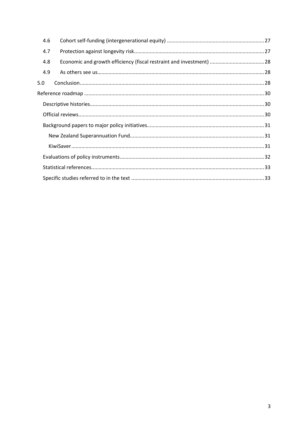| 4.6 |                                                                      |  |  |  |  |  |
|-----|----------------------------------------------------------------------|--|--|--|--|--|
| 4.7 |                                                                      |  |  |  |  |  |
| 4.8 | Economic and growth efficiency (fiscal restraint and investment)  28 |  |  |  |  |  |
| 4.9 |                                                                      |  |  |  |  |  |
| 5.0 |                                                                      |  |  |  |  |  |
|     |                                                                      |  |  |  |  |  |
|     |                                                                      |  |  |  |  |  |
|     |                                                                      |  |  |  |  |  |
|     |                                                                      |  |  |  |  |  |
|     |                                                                      |  |  |  |  |  |
|     |                                                                      |  |  |  |  |  |
|     |                                                                      |  |  |  |  |  |
|     |                                                                      |  |  |  |  |  |
|     |                                                                      |  |  |  |  |  |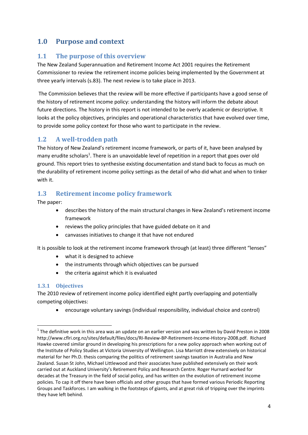# <span id="page-3-0"></span>**1.0 Purpose and context**

#### <span id="page-3-1"></span>**1.1 The purpose of this overview**

The New Zealand Superannuation and Retirement Income Act 2001 requires the Retirement Commissioner to review the retirement income policies being implemented by the Government at three yearly intervals (s.83). The next review is to take place in 2013.

The Commission believes that the review will be more effective if participants have a good sense of the history of retirement income policy: understanding the history will inform the debate about future directions. The history in this report is not intended to be overly academic or descriptive. It looks at the policy objectives, principles and operational characteristics that have evolved over time, to provide some policy context for those who want to participate in the review.

### <span id="page-3-2"></span>**1.2 A well-trodden path**

The history of New Zealand's retirement income framework, or parts of it, have been analysed by many erudite scholars<sup>1</sup>. There is an unavoidable level of repetition in a report that goes over old ground. This report tries to synthesise existing documentation and stand back to focus as much on the durability of retirement income policy settings as the detail of who did what and when to tinker with it.

### <span id="page-3-3"></span>**1.3 Retirement income policy framework**

The paper:

- describes the history of the main structural changes in New Zealand's retirement income framework
- reviews the policy principles that have guided debate on it and
- canvasses initiatives to change it that have not endured

It is possible to look at the retirement income framework through (at least) three different "lenses"

- what it is designed to achieve
- the instruments through which objectives can be pursued
- the criteria against which it is evaluated

#### <span id="page-3-4"></span>**1.3.1 Objectives**

**.** 

The 2010 review of retirement income policy identified eight partly overlapping and potentially competing objectives:

encourage voluntary savings (individual responsibility, individual choice and control)

 $1$  The definitive work in this area was an update on an earlier version and was written by David Preston in 2008 http://www.cflri.org.nz/sites/default/files/docs/RI-Review-BP-Retirement-Income-History-2008.pdf. Richard Hawke covered similar ground in developing his prescriptions for a new policy approach when working out of the Institute of Policy Studies at Victoria University of Wellington. Lisa Marriott drew extensively on historical material for her Ph.D. thesis comparing the politics of retirement savings taxation in Australia and New Zealand. Susan St John, Michael Littlewood and their associates have published extensively on their work carried out at Auckland University's Retirement Policy and Research Centre. Roger Hurnard worked for decades at the Treasury in the field of social policy, and has written on the evolution of retirement income policies. To cap it off there have been officials and other groups that have formed various Periodic Reporting Groups and Taskforces. I am walking in the footsteps of giants, and at great risk of tripping over the imprints they have left behind.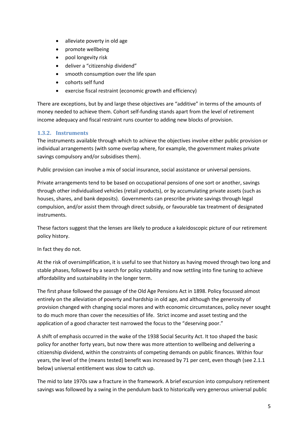- alleviate poverty in old age
- promote wellbeing
- pool longevity risk
- deliver a "citizenship dividend"
- smooth consumption over the life span
- cohorts self fund
- exercise fiscal restraint (economic growth and efficiency)

There are exceptions, but by and large these objectives are "additive" in terms of the amounts of money needed to achieve them. Cohort self-funding stands apart from the level of retirement income adequacy and fiscal restraint runs counter to adding new blocks of provision.

#### <span id="page-4-0"></span>**1.3.2. Instruments**

The instruments available through which to achieve the objectives involve either public provision or individual arrangements (with some overlap where, for example, the government makes private savings compulsory and/or subsidises them).

Public provision can involve a mix of social insurance, social assistance or universal pensions.

Private arrangements tend to be based on occupational pensions of one sort or another, savings through other individualised vehicles (retail products), or by accumulating private assets (such as houses, shares, and bank deposits). Governments can prescribe private savings through legal compulsion, and/or assist them through direct subsidy, or favourable tax treatment of designated instruments.

These factors suggest that the lenses are likely to produce a kaleidoscopic picture of our retirement policy history.

In fact they do not.

At the risk of oversimplification, it is useful to see that history as having moved through two long and stable phases, followed by a search for policy stability and now settling into fine tuning to achieve affordability and sustainability in the longer term.

The first phase followed the passage of the Old Age Pensions Act in 1898. Policy focussed almost entirely on the alleviation of poverty and hardship in old age, and although the generosity of provision changed with changing social mores and with economic circumstances, policy never sought to do much more than cover the necessities of life. Strict income and asset testing and the application of a good character test narrowed the focus to the "deserving poor."

A shift of emphasis occurred in the wake of the 1938 Social Security Act. It too shaped the basic policy for another forty years, but now there was more attention to wellbeing and delivering a citizenship dividend, within the constraints of competing demands on public finances. Within four years, the level of the (means tested) benefit was increased by 71 per cent, even though (see 2.1.1 below) universal entitlement was slow to catch up.

The mid to late 1970s saw a fracture in the framework. A brief excursion into compulsory retirement savings was followed by a swing in the pendulum back to historically very generous universal public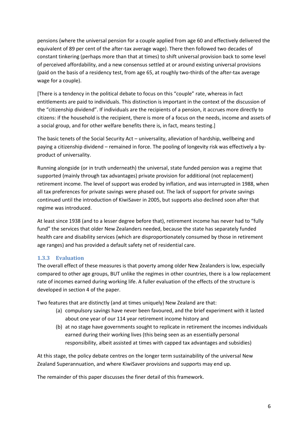pensions (where the universal pension for a couple applied from age 60 and effectively delivered the equivalent of 89 per cent of the after-tax average wage). There then followed two decades of constant tinkering (perhaps more than that at times) to shift universal provision back to some level of perceived affordability, and a new consensus settled at or around existing universal provisions (paid on the basis of a residency test, from age 65, at roughly two-thirds of the after-tax average wage for a couple).

[There is a tendency in the political debate to focus on this "couple" rate, whereas in fact entitlements are paid to individuals. This distinction is important in the context of the discussion of the "citizenship dividend". If individuals are the recipients of a pension, it accrues more directly to citizens: if the household is the recipient, there is more of a focus on the needs, income and assets of a social group, and for other welfare benefits there is, in fact, means testing.]

The basic tenets of the Social Security Act – universality, alleviation of hardship, wellbeing and paying a citizenship dividend – remained in force. The pooling of longevity risk was effectively a byproduct of universality.

Running alongside (or in truth underneath) the universal, state funded pension was a regime that supported (mainly through tax advantages) private provision for additional (not replacement) retirement income. The level of support was eroded by inflation, and was interrupted in 1988, when all tax preferences for private savings were phased out. The lack of support for private savings continued until the introduction of KiwiSaver in 2005, but supports also declined soon after that regime was introduced.

At least since 1938 (and to a lesser degree before that), retirement income has never had to "fully fund" the services that older New Zealanders needed, because the state has separately funded health care and disability services (which are disproportionately consumed by those in retirement age ranges) and has provided a default safety net of residential care.

#### <span id="page-5-0"></span>**1.3.3 Evaluation**

The overall effect of these measures is that poverty among older New Zealanders is low, especially compared to other age groups, BUT unlike the regimes in other countries, there is a low replacement rate of incomes earned during working life. A fuller evaluation of the effects of the structure is developed in section 4 of the paper.

Two features that are distinctly (and at times uniquely) New Zealand are that:

- (a) compulsory savings have never been favoured, and the brief experiment with it lasted about one year of our 114 year retirement income history and
- (b) at no stage have governments sought to replicate in retirement the incomes individuals earned during their working lives (this being seen as an essentially personal responsibility, albeit assisted at times with capped tax advantages and subsidies)

At this stage, the policy debate centres on the longer term sustainability of the universal New Zealand Superannuation, and where KiwiSaver provisions and supports may end up.

The remainder of this paper discusses the finer detail of this framework.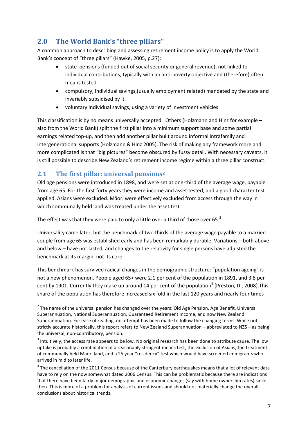# <span id="page-6-0"></span>**2.0 The World Bank's "three pillars"**

A common approach to describing and assessing retirement income policy is to apply the World Bank's concept of "three pillars" (Hawke, 2005, p.27):

- state pensions (funded out of social security or general revenue), not linked to individual contributions, typically with an anti-poverty objective and (therefore) often means tested
- compulsory, individual savings,(usually employment related) mandated by the state and invariably subsidised by it
- voluntary individual savings, using a variety of investment vehicles

This classification is by no means universally accepted. Others (Holzmann and Hinz for example – also from the World Bank) split the first pillar into a minimum support base and some partial earnings related top-up, and then add another pillar built around informal intrafamily and intergenerational supports (Holzmann & Hinz 2005). The risk of making any framework more and more complicated is that "big pictures" become obscured by fussy detail. With necessary caveats, it is still possible to describe New Zealand's retirement income regime within a three pillar construct.

### <span id="page-6-1"></span>**2.1 The first pillar: universal pensions<sup>2</sup>**

 $\overline{a}$ 

Old age pensions were introduced in 1898, and were set at one-third of the average wage, payable from age 65. For the first forty years they were income and asset tested, and a good character test applied. Asians were excluded. Māori were effectively excluded from access through the way in which communally held land was treated under the asset test.

The effect was that they were paid to only a little over a third of those over 65. $3$ 

Universality came later, but the benchmark of two thirds of the average wage payable to a married couple from age 65 was established early and has been remarkably durable. Variations – both above and below – have not lasted, and changes to the relativity for single persons have adjusted the benchmark at its margin, not its core.

This benchmark has survived radical changes in the demographic structure: "population ageing" is not a new phenomenon. People aged 65+ were 2.1 per cent of the population in 1891, and 3.8 per cent by 1901. Currently they make up around 14 per cent of the population<sup>4</sup> (Preston, D., 2008). This share of the population has therefore increased six fold in the last 120 years and nearly four times

 $2$  The name of the universal pension has changed over the years: Old Age Pension, Age Benefit, Universal Superannuation, National Superannuation, Guaranteed Retirement Income, and now New Zealand Superannuation. For ease of reading, no attempt has been made to follow the changing terms. While not strictly accurate historically, this report refers to New Zealand Superannuation – abbreviated to NZS – as being the universal, non-contributory, pension.

 $3$  Intuitively, the access rate appears to be low. No original research has been done to attribute cause. The low uptake is probably a combination of a reasonably stringent means test, the exclusion of Asians, the treatment of communally held Māori land, and a 25 year "residency" test which would have screened immigrants who arrived in mid to later life.

 $<sup>4</sup>$  The cancellation of the 2011 Census because of the Canterbury earthquakes means that a lot of relevant data</sup> have to rely on the now somewhat dated 2006 Census. This can be problematic because there are indications that there have been fairly major demographic and economic changes (say with home ownership rates) since then. This is more of a problem for analysis of current issues and should not materially change the overall conclusions about historical trends.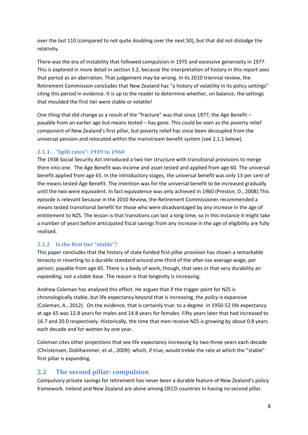over the last 110 (compared to not quite doubling over the next 50), but that did not dislodge the relativity.

There was the era of instability that followed compulsion in 1975 and excessive generosity in 1977. This is explored in more detail in section 3.2, because the interpretation of history in this report sees that period as an aberration. That judgement may be wrong. In its 2010 triennial review, the Retirement Commission concludes that New Zealand has "a history of volatility in its policy settings" citing this period in evidence. It is up to the reader to determine whether, on balance, the settings that moulded the first tier were stable or volatile!

One thing that did change as a result of the "fracture" was that since 1977, the Age Benefit – payable from an earlier age but means tested – has gone. This could be seen as the poverty relief component of New Zealand's first pillar, but poverty relief has since been decoupled from the universal pension and relocated within the mainstream benefit system (see 2.1.1 below).

#### <span id="page-7-0"></span>**2.1.1. "Split rates": 1939 to 1960**

The 1938 Social Security Act introduced a two tier structure with transitional provisions to merge them into one. The Age Benefit was income and asset tested and applied from age 60. The universal benefit applied from age 65. In the introductory stages, the universal benefit was only 13 per cent of the means tested Age Benefit. The intention was for the universal benefit to be increased gradually until the two were equivalent. In fact equivalence was only achieved in 1960 (Preston, D., 2008).This episode is relevant because in the 2010 Review, the Retirement Commissioner recommended a means tested transitional benefit for those who were disadvantaged by any increase in the age of entitlement to NZS. The lesson is that transitions can last a long time, so in this instance it might take a number of years before anticipated fiscal savings from any increase in the age of eligibility are fully realised.

#### <span id="page-7-1"></span>**2.1.2 Is the first tier "stable"?**

This paper concludes that the history of state funded first pillar provision has shown a remarkable tenacity in reverting to a durable standard around one-third of the after-tax average wage, per person, payable from age 65. There is a body of work, though, that sees in that very durability an *expanding,* not a *stable* base. The reason is that longevity is increasing.

Andrew Coleman has analysed this effect. He argues that if the trigger point for NZS is chronologically stable, but life expectancy beyond that is increasing, the *policy* is expansive (Coleman, A., 2012). On the evidence, that is certainly true: to a degree. In 1950-52 life expectancy at age 65 was 12.8 years for males and 14.8 years for females. Fifty years later that had increased to 16.7 and 20.0 respectively. Historically, the time that men receive NZS is growing by about 0.8 years each decade and for women by one year.

Coleman cites other projections that see life expectancy increasing by two-three years each decade (Christensen, Doblhammer, et al., 2009): which, if true, would treble the rate at which the "stable" first pillar is expanding.

#### <span id="page-7-2"></span>**2.2 The second pillar: compulsion**

Compulsory private savings for retirement has never been a durable feature of New Zealand's policy framework. Ireland and New Zealand are alone among OECD countries in having no second pillar.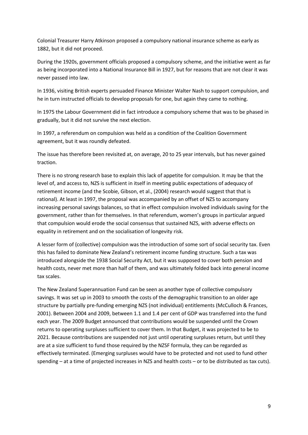Colonial Treasurer Harry Atkinson proposed a compulsory national insurance scheme as early as 1882, but it did not proceed.

During the 1920s, government officials proposed a compulsory scheme, and the initiative went as far as being incorporated into a National Insurance Bill in 1927, but for reasons that are not clear it was never passed into law.

In 1936, visiting British experts persuaded Finance Minister Walter Nash to support compulsion, and he in turn instructed officials to develop proposals for one, but again they came to nothing.

In 1975 the Labour Government did in fact introduce a compulsory scheme that was to be phased in gradually, but it did not survive the next election.

In 1997, a referendum on compulsion was held as a condition of the Coalition Government agreement, but it was roundly defeated.

The issue has therefore been revisited at, on average, 20 to 25 year intervals, but has never gained traction.

There is no strong research base to explain this lack of appetite for compulsion. It may be that the level of, and access to, NZS is sufficient in itself in meeting public expectations of adequacy of retirement income (and the Scobie, Gibson, et al., (2004) research would suggest that that is rational). At least in 1997, the proposal was accompanied by an offset of NZS to accompany increasing personal savings balances, so that in effect compulsion involved individuals saving for the government, rather than for themselves. In that referendum, women's groups in particular argued that compulsion would erode the social consensus that sustained NZS, with adverse effects on equality in retirement and on the socialisation of longevity risk.

A lesser form of (collective) compulsion was the introduction of some sort of social security tax. Even this has failed to dominate New Zealand's retirement income funding structure. Such a tax was introduced alongside the 1938 Social Security Act, but it was supposed to cover both pension and health costs, never met more than half of them, and was ultimately folded back into general income tax scales.

The New Zealand Superannuation Fund can be seen as another type of collective compulsory savings. It was set up in 2003 to smooth the costs of the demographic transition to an older age structure by partially pre-funding emerging NZS (not individual) entitlements (McCulloch & Frances, 2001). Between 2004 and 2009, between 1.1 and 1.4 per cent of GDP was transferred into the fund each year. The 2009 Budget announced that contributions would be suspended until the Crown returns to operating surpluses sufficient to cover them. In that Budget, it was projected to be to 2021. Because contributions are suspended not just until operating surpluses return, but until they are at a size sufficient to fund those required by the NZSF formula, they can be regarded as effectively terminated. (Emerging surpluses would have to be protected and not used to fund other spending – at a time of projected increases in NZS and health costs – or to be distributed as tax cuts).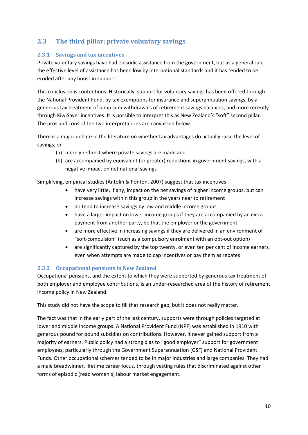### <span id="page-9-0"></span>**2.3 The third pillar: private voluntary savings**

#### <span id="page-9-1"></span>**2.3.1 Savings and tax incentives**

Private voluntary savings have had episodic assistance from the government, but as a general rule the effective level of assistance has been low by international standards and it has tended to be eroded after any boost in support.

This conclusion is contentious. Historically, support for voluntary savings has been offered through the National Provident Fund, by tax exemptions for insurance and superannuation savings, by a generous tax treatment of lump sum withdrawals of retirement savings balances, and more recently through KiwiSaver incentives. It is possible to interpret this as New Zealand's "soft" second pillar. The pros and cons of the two interpretations are canvassed below.

There is a major debate in the literature on whether tax advantages do actually raise the level of savings, or

- (a) merely redirect where private savings are made and
- (b) are accompanied by equivalent (or greater) reductions in government savings, with a negative impact on net national savings

Simplifying, empirical studies (Antolin & Ponton, 2007) suggest that tax incentives

- have very little, if any, impact on the net savings of higher income groups, but can increase savings within this group in the years near to retirement
- do tend to increase savings by low and middle income groups
- have a larger impact on lower income groups if they are accompanied by an extra payment from another party, be that the employer or the government
- are more effective in increasing savings if they are delivered in an environment of "soft-compulsion" (such as a compulsory enrolment with an opt-out option)
- are significantly captured by the top twenty, or even ten per cent of income earners, even when attempts are made to cap incentives or pay them as rebates

#### <span id="page-9-2"></span>**2.3.2 Occupational pensions in New Zealand**

Occupational pensions, and the extent to which they were supported by generous tax treatment of both employer and employee contributions, is an under-researched area of the history of retirement income policy in New Zealand.

This study did not have the scope to fill that research gap, but it does not really matter.

The fact was that in the early part of the last century, supports were through policies targeted at lower and middle income groups. A National Provident Fund (NPF) was established in 1910 with generous pound for pound subsidies on contributions. However, it never gained support from a majority of earners. Public policy had a strong bias to "good employer" support for government employees, particularly through the Government Superannuation (GSF) and National Provident Funds. Other occupational schemes tended to be in major industries and large companies. They had a male breadwinner, lifetime career focus, through vesting rules that discriminated against other forms of episodic (read women's) labour market engagement.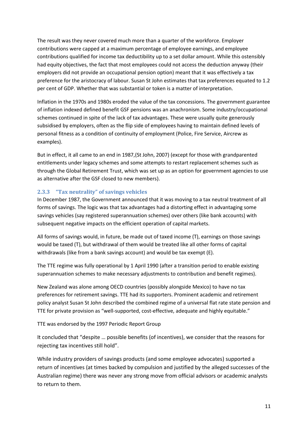The result was they never covered much more than a quarter of the workforce. Employer contributions were capped at a maximum percentage of employee earnings, and employee contributions qualified for income tax deductibility up to a set dollar amount. While this ostensibly had equity objectives, the fact that most employees could not access the deduction anyway (their employers did not provide an occupational pension option) meant that it was effectively a tax preference for the aristocracy of labour. Susan St John estimates that tax preferences equated to 1.2 per cent of GDP. Whether that was substantial or token is a matter of interpretation.

Inflation in the 1970s and 1980s eroded the value of the tax concessions. The government guarantee of inflation indexed defined benefit GSF pensions was an anachronism. Some industry/occupational schemes continued in spite of the lack of tax advantages. These were usually quite generously subsidised by employers, often as the flip side of employees having to maintain defined levels of personal fitness as a condition of continuity of employment (Police, Fire Service, Aircrew as examples).

But in effect, it all came to an end in 1987,(St John, 2007) (except for those with grandparented entitlements under legacy schemes and some attempts to restart replacement schemes such as through the Global Retirement Trust, which was set up as an option for government agencies to use as alternative after the GSF closed to new members).

#### <span id="page-10-0"></span>**2.3.3 "Tax neutrality" of savings vehicles**

In December 1987, the Government announced that it was moving to a tax neutral treatment of all forms of savings. The logic was that tax advantages had a distorting effect in advantaging some savings vehicles (say registered superannuation schemes) over others (like bank accounts) with subsequent negative impacts on the efficient operation of capital markets.

All forms of savings would, in future, be made out of taxed income (T), earnings on those savings would be taxed (T), but withdrawal of them would be treated like all other forms of capital withdrawals (like from a bank savings account) and would be tax exempt (E).

The TTE regime was fully operational by 1 April 1990 (after a transition period to enable existing superannuation schemes to make necessary adjustments to contribution and benefit regimes).

New Zealand was alone among OECD countries (possibly alongside Mexico) to have no tax preferences for retirement savings. TTE had its supporters. Prominent academic and retirement policy analyst Susan St John described the combined regime of a universal flat rate state pension and TTE for private provision as "well-supported, cost-effective, adequate and highly equitable."

TTE was endorsed by the 1997 Periodic Report Group

It concluded that "despite … possible benefits (of incentives), we consider that the reasons for rejecting tax incentives still hold".

While industry providers of savings products (and some employee advocates) supported a return of incentives (at times backed by compulsion and justified by the alleged successes of the Australian regime) there was never any strong move from official advisors or academic analysts to return to them.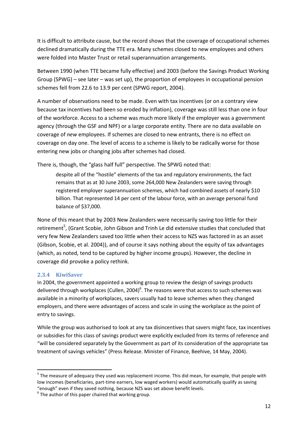It is difficult to attribute cause, but the record shows that the coverage of occupational schemes declined dramatically during the TTE era. Many schemes closed to new employees and others were folded into Master Trust or retail superannuation arrangements.

Between 1990 (when TTE became fully effective) and 2003 (before the Savings Product Working Group (SPWG) – see later – was set up), the proportion of employees in occupational pension schemes fell from 22.6 to 13.9 per cent (SPWG report, 2004).

A number of observations need to be made. Even with tax incentives (or on a contrary view because tax incentives had been so eroded by inflation), coverage was still less than one in four of the workforce. Access to a scheme was much more likely if the employer was a government agency (through the GSF and NPF) or a large corporate entity. There are no data available on coverage of *new* employees. If schemes are closed to new entrants, there is no effect on coverage on day one. The level of access to a scheme is likely to be radically worse for those entering new jobs or changing jobs after schemes had closed.

There is, though, the "glass half full" perspective. The SPWG noted that:

despite all of the "hostile" elements of the tax and regulatory environments, the fact remains that as at 30 June 2003, some 264,000 New Zealanders were saving through registered employer superannuation schemes, which had combined assets of nearly \$10 billion. That represented 14 per cent of the labour force, with an average personal fund balance of \$37,000.

None of this meant that by 2003 New Zealanders were necessarily saving too little for their retirement<sup>5</sup>, (Grant Scobie, John Gibson and Trinh Le did extensive studies that concluded that very few New Zealanders saved too little when their access to NZS was factored in as an asset (Gibson, Scobie, et al. 2004)), and of course it says nothing about the equity of tax advantages (which, as noted, tend to be captured by higher income groups). However, the decline in coverage did provoke a policy rethink.

#### <span id="page-11-0"></span>**2.3.4 KiwiSaver**

**.** 

In 2004, the government appointed a working group to review the design of savings products delivered through workplaces (Cullen, 2004)<sup>6</sup>. The reasons were that access to such schemes was available in a minority of workplaces, savers usually had to leave schemes when they changed employers, and there were advantages of access and scale in using the workplace as the point of entry to savings.

While the group was authorised to look at any tax disincentives that savers might face, tax incentives or subsidies for this class of savings product were explicitly excluded from its terms of reference and "will be considered separately by the Government as part of its consideration of the appropriate tax treatment of savings vehicles" (Press Release. Minister of Finance, Beehive, 14 May, 2004).

<sup>&</sup>lt;sup>5</sup> The measure of adequacy they used was replacement income. This did mean, for example, that people with low incomes (beneficiaries, part-time earners, low waged workers) would automatically qualify as saving "enough" even if they saved nothing, because NZS was set above benefit levels.

 $<sup>6</sup>$  The author of this paper chaired that working group.</sup>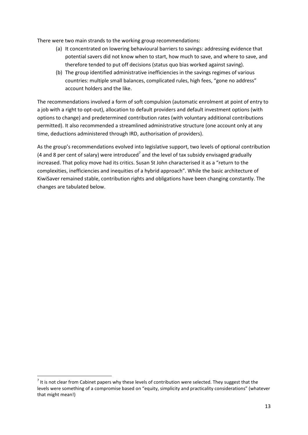There were two main strands to the working group recommendations:

- (a) It concentrated on lowering behavioural barriers to savings: addressing evidence that potential savers did not know when to start, how much to save, and where to save, and therefore tended to put off decisions (status quo bias worked against saving).
- (b) The group identified administrative inefficiencies in the savings regimes of various countries: multiple small balances, complicated rules, high fees, "gone no address" account holders and the like.

The recommendations involved a form of soft compulsion (automatic enrolment at point of entry to a job with a right to opt-out), allocation to default providers and default investment options (with options to change) and predetermined contribution rates (with voluntary additional contributions permitted). It also recommended a streamlined administrative structure (one account only at any time, deductions administered through IRD, authorisation of providers).

As the group's recommendations evolved into legislative support, two levels of optional contribution (4 and 8 per cent of salary) were introduced<sup>7</sup> and the level of tax subsidy envisaged gradually increased. That policy move had its critics. Susan St John characterised it as a "return to the complexities, inefficiencies and inequities of a hybrid approach". While the basic architecture of KiwiSaver remained stable, contribution rights and obligations have been changing constantly. The changes are tabulated below.

**.** 

 $<sup>7</sup>$  It is not clear from Cabinet papers why these levels of contribution were selected. They suggest that the</sup> levels were something of a compromise based on "equity, simplicity and practicality considerations" (whatever that might mean!)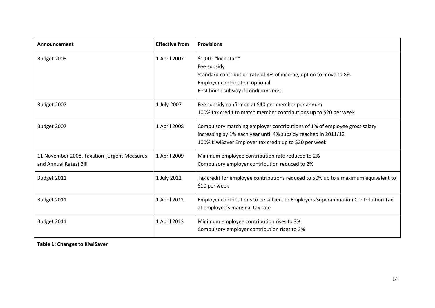| Announcement                                                          | <b>Effective from</b> | <b>Provisions</b>                                                                                                                                                                                     |
|-----------------------------------------------------------------------|-----------------------|-------------------------------------------------------------------------------------------------------------------------------------------------------------------------------------------------------|
| Budget 2005                                                           | 1 April 2007          | \$1,000 "kick start"<br>Fee subsidy<br>Standard contribution rate of 4% of income, option to move to 8%<br>Employer contribution optional<br>First home subsidy if conditions met                     |
| Budget 2007                                                           | 1 July 2007           | Fee subsidy confirmed at \$40 per member per annum<br>100% tax credit to match member contributions up to \$20 per week                                                                               |
| Budget 2007                                                           | 1 April 2008          | Compulsory matching employer contributions of 1% of employee gross salary<br>increasing by 1% each year until 4% subsidy reached in 2011/12<br>100% KiwiSaver Employer tax credit up to \$20 per week |
| 11 November 2008. Taxation (Urgent Measures<br>and Annual Rates) Bill | 1 April 2009          | Minimum employee contribution rate reduced to 2%<br>Compulsory employer contribution reduced to 2%                                                                                                    |
| Budget 2011                                                           | 1 July 2012           | Tax credit for employee contributions reduced to 50% up to a maximum equivalent to<br>\$10 per week                                                                                                   |
| Budget 2011                                                           | 1 April 2012          | Employer contributions to be subject to Employers Superannuation Contribution Tax<br>at employee's marginal tax rate                                                                                  |
| Budget 2011                                                           | 1 April 2013          | Minimum employee contribution rises to 3%<br>Compulsory employer contribution rises to 3%                                                                                                             |

**Table 1: Changes to KiwiSaver**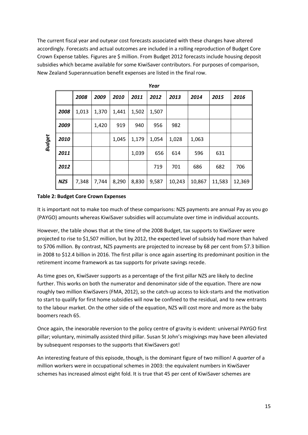The current fiscal year and outyear cost forecasts associated with these changes have altered accordingly. Forecasts and actual outcomes are included in a rolling reproduction of Budget Core Crown Expense tables. Figures are \$ million. From Budget 2012 forecasts include housing deposit subsidies which became available for some KiwiSaver contributors. For purposes of comparison, New Zealand Superannuation benefit expenses are listed in the final row.

| <b>Budget</b>                                                                                                                                                                                     |            | 2008  | 2009  | 2010  | 2011  | 2012  | 2013   | 2014   | 2015   | 2016                                                                                                                                                                                          |
|---------------------------------------------------------------------------------------------------------------------------------------------------------------------------------------------------|------------|-------|-------|-------|-------|-------|--------|--------|--------|-----------------------------------------------------------------------------------------------------------------------------------------------------------------------------------------------|
|                                                                                                                                                                                                   | 2008       | 1,013 | 1,370 | 1,441 | 1,502 | 1,507 |        |        |        |                                                                                                                                                                                               |
|                                                                                                                                                                                                   | 2009       |       | 1,420 | 919   | 940   | 956   | 982    |        |        |                                                                                                                                                                                               |
|                                                                                                                                                                                                   | 2010       |       |       | 1,045 | 1,179 | 1,054 | 1,028  | 1,063  |        |                                                                                                                                                                                               |
|                                                                                                                                                                                                   | 2011       |       |       |       | 1,039 | 656   | 614    | 596    | 631    |                                                                                                                                                                                               |
|                                                                                                                                                                                                   | 2012       |       |       |       |       | 719   | 701    | 686    | 682    | 706                                                                                                                                                                                           |
|                                                                                                                                                                                                   | <b>NZS</b> | 7,348 | 7,744 | 8,290 | 8,830 | 9,587 | 10,243 | 10,867 | 11,583 | 12,369                                                                                                                                                                                        |
| <b>Table 2: Budget Core Crown Expenses</b>                                                                                                                                                        |            |       |       |       |       |       |        |        |        |                                                                                                                                                                                               |
|                                                                                                                                                                                                   |            |       |       |       |       |       |        |        |        | It is important not to make too much of these comparisons: NZS payments are annual Pay as                                                                                                     |
|                                                                                                                                                                                                   |            |       |       |       |       |       |        |        |        | (PAYGO) amounts whereas KiwiSaver subsidies will accumulate over time in individual accour                                                                                                    |
|                                                                                                                                                                                                   |            |       |       |       |       |       |        |        |        | However, the table shows that at the time of the 2008 Budget, tax supports to KiwiSaver wer<br>projected to rise to \$1,507 million, but by 2012, the expected level of subsidy had more than |
|                                                                                                                                                                                                   |            |       |       |       |       |       |        |        |        | to \$706 million. By contrast, NZS payments are projected to increase by 68 per cent from \$7.3                                                                                               |
| in 2008 to \$12.4 billion in 2016. The first pillar is once again asserting its predominant positio<br>retirement income framework as tax supports for private savings recede.                    |            |       |       |       |       |       |        |        |        |                                                                                                                                                                                               |
|                                                                                                                                                                                                   |            |       |       |       |       |       |        |        |        | As time goes on, KiwiSaver supports as a percentage of the first pillar NZS are likely to decline                                                                                             |
|                                                                                                                                                                                                   |            |       |       |       |       |       |        |        |        | further. This works on both the numerator and denominator side of the equation. There are r                                                                                                   |
|                                                                                                                                                                                                   |            |       |       |       |       |       |        |        |        | roughly two million KiwiSavers (FMA, 2012), so the catch-up access to kick-starts and the mot                                                                                                 |
| to start to qualify for first home subsidies will now be confined to the residual, and to new en<br>to the labour market. On the other side of the equation, NZS will cost more and more as the l |            |       |       |       |       |       |        |        |        |                                                                                                                                                                                               |
| boomers reach 65.                                                                                                                                                                                 |            |       |       |       |       |       |        |        |        |                                                                                                                                                                                               |
| Once again, the inexorable reversion to the policy centre of gravity is evident: universal PAYG                                                                                                   |            |       |       |       |       |       |        |        |        |                                                                                                                                                                                               |
| pillar; voluntary, minimally assisted third pillar. Susan St John's misgivings may have been alle<br>by subsequent responses to the supports that KiwiSavers got!                                 |            |       |       |       |       |       |        |        |        |                                                                                                                                                                                               |
| An interesting feature of this episode, though, is the dominant figure of two million! A quarte                                                                                                   |            |       |       |       |       |       |        |        |        |                                                                                                                                                                                               |
| million workers were in occupational schemes in 2003: the equivalent numbers in KiwiSaver                                                                                                         |            |       |       |       |       |       |        |        |        |                                                                                                                                                                                               |
| schemes has increased almost eight fold. It is true that 45 per cent of KiwiSaver schemes are                                                                                                     |            |       |       |       |       |       |        |        |        |                                                                                                                                                                                               |

*Year*

#### **Table 2: Budget Core Crown Expenses**

It is important not to make too much of these comparisons: NZS payments are annual Pay as you go (PAYGO) amounts whereas KiwiSaver subsidies will accumulate over time in individual accounts.

However, the table shows that at the time of the 2008 Budget, tax supports to KiwiSaver were projected to rise to \$1,507 million, but by 2012, the expected level of subsidy had more than halved to \$706 million. By contrast, NZS payments are projected to increase by 68 per cent from \$7.3 billion in 2008 to \$12.4 billion in 2016. The first pillar is once again asserting its predominant position in the retirement income framework as tax supports for private savings recede.

As time goes on, KiwiSaver supports as a percentage of the first pillar NZS are likely to decline further. This works on both the numerator and denominator side of the equation. There are now roughly two million KiwiSavers (FMA, 2012), so the catch-up access to kick-starts and the motivation to start to qualify for first home subsidies will now be confined to the residual, and to new entrants to the labour market. On the other side of the equation, NZS will cost more and more as the baby boomers reach 65.

Once again, the inexorable reversion to the policy centre of gravity is evident: universal PAYGO first pillar; voluntary, minimally assisted third pillar. Susan St John's misgivings may have been alleviated by subsequent responses to the supports that KiwiSavers got!

An interesting feature of this episode, though, is the dominant figure of two million! A *quarter* of a million workers were in occupational schemes in 2003: the equivalent numbers in KiwiSaver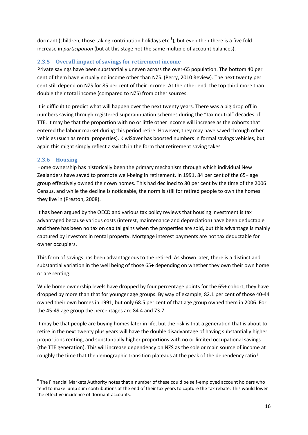dormant (children, those taking contribution holidays etc.<sup>8</sup>), but even then there is a five fold increase in *participation* (but at this stage not the same multiple of account balances).

#### <span id="page-15-0"></span>**2.3.5 Overall impact of savings for retirement income**

Private savings have been substantially uneven across the over-65 population. The bottom 40 per cent of them have virtually no income other than NZS. (Perry, 2010 Review). The next twenty per cent still depend on NZS for 85 per cent of their income. At the other end, the top third more than double their total income (compared to NZS) from other sources.

It is difficult to predict what will happen over the next twenty years. There was a big drop off in numbers saving through registered superannuation schemes during the "tax neutral" decades of TTE. It may be that the proportion with no or little other income will increase as the cohorts that entered the labour market during this period retire. However, they may have saved through other vehicles (such as rental properties). KiwiSaver has boosted numbers in formal savings vehicles, but again this might simply reflect a switch in the form that retirement saving takes

#### <span id="page-15-1"></span>**2.3.6 Housing**

**.** 

Home ownership has historically been the primary mechanism through which individual New Zealanders have saved to promote well-being in retirement. In 1991, 84 per cent of the 65+ age group effectively owned their own homes. This had declined to 80 per cent by the time of the 2006 Census, and while the decline is noticeable, the norm is still for retired people to own the homes they live in (Preston, 2008).

It has been argued by the OECD and various tax policy reviews that housing investment is tax advantaged because various costs (interest, maintenance and depreciation) have been deductable and there has been no tax on capital gains when the properties are sold, but this advantage is mainly captured by investors in rental property. Mortgage interest payments are not tax deductable for owner occupiers.

This form of savings has been advantageous to the retired. As shown later, there is a distinct and substantial variation in the well being of those 65+ depending on whether they own their own home or are renting.

While home ownership levels have dropped by four percentage points for the 65+ cohort, they have dropped by more than that for younger age groups. By way of example, 82.1 per cent of those 40-44 owned their own homes in 1991, but only 68.5 per cent of that age group owned them in 2006. For the 45-49 age group the percentages are 84.4 and 73.7.

It may be that people are buying homes later in life, but the risk is that a generation that is about to retire in the next twenty plus years will have the double disadvantage of having substantially higher proportions renting, and substantially higher proportions with no or limited occupational savings (the TTE generation). This will increase dependency on NZS as the sole or main source of income at roughly the time that the demographic transition plateaus at the peak of the dependency ratio!

 $^8$  The Financial Markets Authority notes that a number of these could be self-employed account holders who tend to make lump sum contributions at the end of their tax years to capture the tax rebate. This would lower the effective incidence of dormant accounts.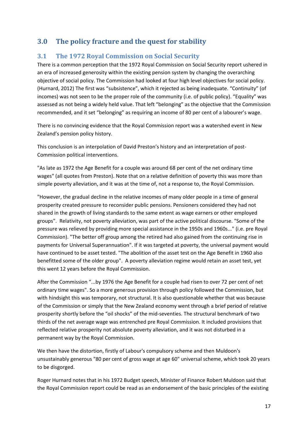# <span id="page-16-0"></span>**3.0 The policy fracture and the quest for stability**

### <span id="page-16-1"></span>**3.1 The 1972 Royal Commission on Social Security**

There is a common perception that the 1972 Royal Commission on Social Security report ushered in an era of increased generosity within the existing pension system by changing the overarching objective of social policy. The Commission had looked at four high level objectives for social policy. (Hurnard, 2012) The first was "subsistence", which it rejected as being inadequate. "Continuity" (of incomes) was not seen to be the proper role of the community (i.e. of public policy). "Equality" was assessed as not being a widely held value. That left "belonging" as the objective that the Commission recommended, and it set "belonging" as requiring an income of 80 per cent of a labourer's wage.

There is no convincing evidence that the Royal Commission report was a watershed event in New Zealand's pension policy history.

This conclusion is an interpolation of David Preston's history and an interpretation of post-Commission political interventions.

"As late as 1972 the Age Benefit for a couple was around 68 per cent of the net ordinary time wages" (all quotes from Preston). Note that on a relative definition of poverty this was more than simple poverty alleviation, and it was at the time of, not a response to, the Royal Commission.

"However, the gradual decline in the relative incomes of many older people in a time of general prosperity created pressure to reconsider public pensions. Pensioners considered they had not shared in the growth of living standards to the same extent as wage earners or other employed groups". Relativity, not poverty alleviation, was part of the active political discourse. "Some of the pressure was relieved by providing more special assistance in the 1950s and 1960s..." (i.e. pre Royal Commission). "The better off group among the retired had also gained from the continuing rise in payments for Universal Superannuation". If it was targeted at poverty, the universal payment would have continued to be asset tested. "The abolition of the asset test on the Age Benefit in 1960 also benefitted some of the older group". A poverty alleviation regime would retain an asset test, yet this went 12 years before the Royal Commission.

After the Commission "...by 1976 the Age Benefit for a couple had risen to over 72 per cent of net ordinary time wages". So a more generous provision through policy followed the Commission, but with hindsight this was temporary, not structural. It is also questionable whether that was because of the Commission or simply that the New Zealand economy went through a brief period of relative prosperity shortly before the "oil shocks" of the mid-seventies. The structural benchmark of two thirds of the net average wage was entrenched pre Royal Commission. It included provisions that reflected relative prosperity not absolute poverty alleviation, and it was not disturbed in a permanent way by the Royal Commission.

We then have the distortion, firstly of Labour's compulsory scheme and then Muldoon's unsustainably generous "80 per cent of gross wage at age 60" universal scheme, which took 20 years to be disgorged.

Roger Hurnard notes that in his 1972 Budget speech, Minister of Finance Robert Muldoon said that the Royal Commission report could be read as an endorsement of the basic principles of the existing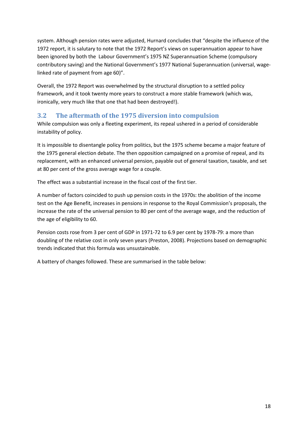system. Although pension rates were adjusted, Hurnard concludes that "despite the influence of the 1972 report, it is salutary to note that the 1972 Report's views on superannuation appear to have been ignored by both the Labour Government's 1975 NZ Superannuation Scheme (compulsory contributory saving) and the National Government's 1977 National Superannuation (universal, wagelinked rate of payment from age 60)".

Overall, the 1972 Report was overwhelmed by the structural disruption to a settled policy framework, and it took twenty more years to construct a more stable framework (which was, ironically, very much like that one that had been destroyed!).

### <span id="page-17-0"></span>**3.2 The aftermath of the 1975 diversion into compulsion**

While compulsion was only a fleeting experiment, its repeal ushered in a period of considerable instability of policy.

It is impossible to disentangle policy from politics, but the 1975 scheme became a major feature of the 1975 general election debate. The then opposition campaigned on a promise of repeal, and its replacement, with an enhanced universal pension, payable out of general taxation, taxable, and set at 80 per cent of the gross average wage for a couple.

The effect was a substantial increase in the fiscal cost of the first tier.

A number of factors coincided to push up pension costs in the 1970s: the abolition of the income test on the Age Benefit, increases in pensions in response to the Royal Commission's proposals, the increase the rate of the universal pension to 80 per cent of the average wage, and the reduction of the age of eligibility to 60.

Pension costs rose from 3 per cent of GDP in 1971-72 to 6.9 per cent by 1978-79: a more than doubling of the relative cost in only seven years (Preston, 2008). Projections based on demographic trends indicated that this formula was unsustainable.

A battery of changes followed. These are summarised in the table below: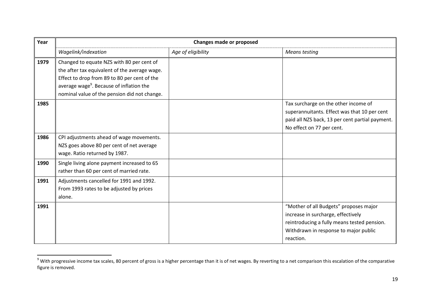| Year | <b>Changes made or proposed</b>                                                                                                                                                                                                                    |                    |                                                                                                                                                                                   |  |  |  |  |
|------|----------------------------------------------------------------------------------------------------------------------------------------------------------------------------------------------------------------------------------------------------|--------------------|-----------------------------------------------------------------------------------------------------------------------------------------------------------------------------------|--|--|--|--|
|      | Wagelink/indexation                                                                                                                                                                                                                                | Age of eligibility | <b>Means testing</b>                                                                                                                                                              |  |  |  |  |
| 1979 | Changed to equate NZS with 80 per cent of<br>the after tax equivalent of the average wage.<br>Effect to drop from 89 to 80 per cent of the<br>average wage <sup>9</sup> . Because of inflation the<br>nominal value of the pension did not change. |                    |                                                                                                                                                                                   |  |  |  |  |
| 1985 |                                                                                                                                                                                                                                                    |                    | Tax surcharge on the other income of<br>superannuitants. Effect was that 10 per cent<br>paid all NZS back, 13 per cent partial payment.<br>No effect on 77 per cent.              |  |  |  |  |
| 1986 | CPI adjustments ahead of wage movements.<br>NZS goes above 80 per cent of net average<br>wage. Ratio returned by 1987.                                                                                                                             |                    |                                                                                                                                                                                   |  |  |  |  |
| 1990 | Single living alone payment increased to 65<br>rather than 60 per cent of married rate.                                                                                                                                                            |                    |                                                                                                                                                                                   |  |  |  |  |
| 1991 | Adjustments cancelled for 1991 and 1992.<br>From 1993 rates to be adjusted by prices<br>alone.                                                                                                                                                     |                    |                                                                                                                                                                                   |  |  |  |  |
| 1991 |                                                                                                                                                                                                                                                    |                    | "Mother of all Budgets" proposes major<br>increase in surcharge, effectively<br>reintroducing a fully means tested pension.<br>Withdrawn in response to major public<br>reaction. |  |  |  |  |

 $^9$  With progressive income tax scales, 80 percent of gross is a higher percentage than it is of net wages. By reverting to a net comparison this escalation of the comparative figure is removed.

 $\overline{a}$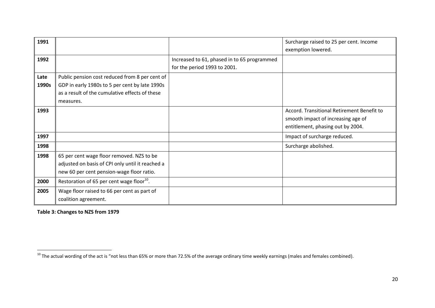| 1991          |                                                                                                                                                                 |                                                                             | Surcharge raised to 25 per cent. Income<br>exemption lowered.                                                         |
|---------------|-----------------------------------------------------------------------------------------------------------------------------------------------------------------|-----------------------------------------------------------------------------|-----------------------------------------------------------------------------------------------------------------------|
| 1992          |                                                                                                                                                                 | Increased to 61, phased in to 65 programmed<br>for the period 1993 to 2001. |                                                                                                                       |
| Late<br>1990s | Public pension cost reduced from 8 per cent of<br>GDP in early 1980s to 5 per cent by late 1990s<br>as a result of the cumulative effects of these<br>measures. |                                                                             |                                                                                                                       |
| 1993          |                                                                                                                                                                 |                                                                             | Accord. Transitional Retirement Benefit to<br>smooth impact of increasing age of<br>entitlement, phasing out by 2004. |
| 1997          |                                                                                                                                                                 |                                                                             | Impact of surcharge reduced.                                                                                          |
| 1998          |                                                                                                                                                                 |                                                                             | Surcharge abolished.                                                                                                  |
| 1998          | 65 per cent wage floor removed. NZS to be<br>adjusted on basis of CPI only until it reached a<br>new 60 per cent pension-wage floor ratio.                      |                                                                             |                                                                                                                       |
| 2000          | Restoration of 65 per cent wage floor <sup>10</sup> .                                                                                                           |                                                                             |                                                                                                                       |
| 2005          | Wage floor raised to 66 per cent as part of<br>coalition agreement.                                                                                             |                                                                             |                                                                                                                       |

**Table 3: Changes to NZS from 1979**

 $\overline{\phantom{a}}$ 

 $^{10}$  The actual wording of the act is "not less than 65% or more than 72.5% of the average ordinary time weekly earnings (males and females combined).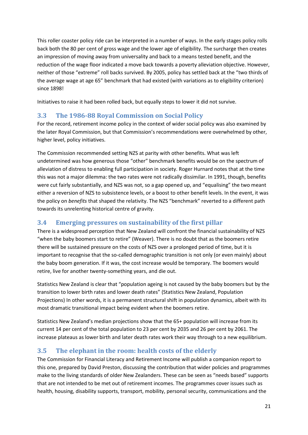This roller coaster policy ride can be interpreted in a number of ways. In the early stages policy rolls back both the 80 per cent of gross wage and the lower age of eligibility. The surcharge then creates an impression of moving away from universality and back to a means tested benefit, and the reduction of the wage floor indicated a move back towards a poverty alleviation objective. However, neither of those "extreme" roll backs survived. By 2005, policy has settled back at the "two thirds of the average wage at age 65" benchmark that had existed (with variations as to eligibility criterion) since 1898!

Initiatives to raise it had been rolled back, but equally steps to lower it did not survive.

#### <span id="page-20-0"></span>**3.3 The 1986-88 Royal Commission on Social Policy**

For the record, retirement income policy in the context of wider social policy was also examined by the later Royal Commission, but that Commission's recommendations were overwhelmed by other, higher level, policy initiatives.

The Commission recommended setting NZS at parity with other benefits. What was left undetermined was how generous those "other" benchmark benefits would be on the spectrum of alleviation of distress to enabling full participation in society. Roger Hurnard notes that at the time this was not a major dilemma: the two rates were not radically dissimilar. In 1991, though, benefits were cut fairly substantially, and NZS was not, so a gap opened up, and "equalising" the two meant either a reversion of NZS to subsistence levels, or a boost to other benefit levels. In the event, it was the policy on *benefits* that shaped the relativity. The NZS "benchmark" reverted to a different path towards its unrelenting historical centre of gravity.

#### <span id="page-20-1"></span>**3.4 Emerging pressures on sustainability of the first pillar**

There is a widespread perception that New Zealand will confront the financial sustainability of NZS "when the baby boomers start to retire" (Weaver). There is no doubt that as the boomers retire there will be sustained pressure on the costs of NZS over a prolonged period of time, but it is important to recognise that the so-called demographic transition is not only (or even mainly) about the baby boom generation. If it was, the cost increase would be temporary. The boomers would retire, live for another twenty-something years, and die out.

Statistics New Zealand is clear that "population ageing is not caused by the baby boomers but by the transition to lower birth rates and lower death rates" (Statistics New Zealand, Population Projections) In other words, it is a permanent structural shift in population dynamics, albeit with its most dramatic transitional impact being evident when the boomers retire.

Statistics New Zealand's median projections show that the 65+ population will increase from its current 14 per cent of the total population to 23 per cent by 2035 and 26 per cent by 2061. The increase plateaus as lower birth and later death rates work their way through to a new equilibrium.

### <span id="page-20-2"></span>**3.5 The elephant in the room: health costs of the elderly**

The Commission for Financial Literacy and Retirement Income will publish a companion report to this one, prepared by David Preston, discussing the contribution that wider policies and programmes make to the living standards of older New Zealanders. These can be seen as "needs based" supports that are not intended to be met out of retirement incomes. The programmes cover issues such as health, housing, disability supports, transport, mobility, personal security, communications and the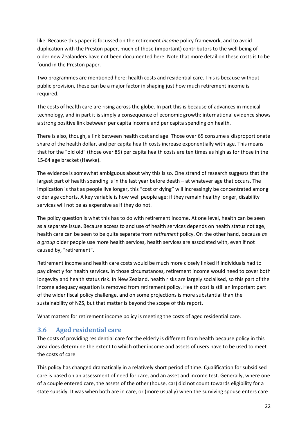like. Because this paper is focussed on the retirement *income* policy framework, and to avoid duplication with the Preston paper, much of those (important) contributors to the well being of older new Zealanders have not been documented here. Note that more detail on these costs is to be found in the Preston paper.

Two programmes are mentioned here: health costs and residential care. This is because without public provision, these can be a major factor in shaping just how much retirement income is required.

The costs of health care are rising across the globe. In part this is because of advances in medical technology, and in part it is simply a consequence of economic growth: international evidence shows a strong positive link between per capita income and per capita spending on health.

There is also, though, a link between health cost and age. Those over 65 consume a disproportionate share of the health dollar, and per capita health costs increase exponentially with age. This means that for the "old old" (those over 85) per capita health costs are ten times as high as for those in the 15-64 age bracket (Hawke).

The evidence is somewhat ambiguous about why this is so. One strand of research suggests that the largest part of health spending is in the last year before death – at whatever age that occurs. The implication is that as people live longer, this "cost of dying" will increasingly be concentrated among older age cohorts. A key variable is how well people age: if they remain healthy longer, disability services will not be as expensive as if they do not.

The policy question is what this has to do with retirement income. At one level, health can be seen as a separate issue. Because access to and use of health services depends on health status not age, health care can be seen to be quite separate from *retirement* policy. On the other hand, because *as a group* older people use more health services, health services are associated with, even if not caused by, "retirement".

Retirement income and health care costs would be much more closely linked if individuals had to pay directly for health services. In those circumstances, retirement income would need to cover both longevity and health status risk. In New Zealand, health risks are largely socialised, so this part of the income adequacy equation is removed from retirement policy. Health cost is still an important part of the wider fiscal policy challenge, and on some projections is more substantial than the sustainability of NZS, but that matter is beyond the scope of this report.

What matters for retirement income policy is meeting the costs of aged residential care.

#### <span id="page-21-0"></span>**3.6 Aged residential care**

The costs of providing residential care for the elderly is different from health because policy in this area does determine the extent to which other income and assets of users have to be used to meet the costs of care.

This policy has changed dramatically in a relatively short period of time. Qualification for subsidised care is based on an assessment of need for care, and an asset and income test. Generally, where one of a couple entered care, the assets of the other (house, car) did not count towards eligibility for a state subsidy. It was when both are in care, or (more usually) when the surviving spouse enters care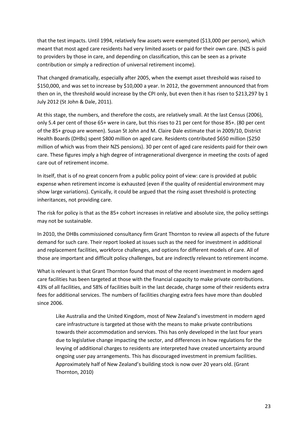that the test impacts. Until 1994, relatively few assets were exempted (\$13,000 per person), which meant that most aged care residents had very limited assets or paid for their own care. (NZS is paid to providers by those in care, and depending on classification, this can be seen as a private contribution or simply a redirection of universal retirement income).

That changed dramatically, especially after 2005, when the exempt asset threshold was raised to \$150,000, and was set to increase by \$10,000 a year. In 2012, the government announced that from then on in, the threshold would increase by the CPI only, but even then it has risen to \$213,297 by 1 July 2012 (St John & Dale, 2011).

At this stage, the numbers, and therefore the costs, are relatively small. At the last Census (2006), only 5.4 per cent of those 65+ were in care, but this rises to 21 per cent for those 85+. (80 per cent of the 85+ group are women). Susan St John and M. Claire Dale estimate that in 2009/10, District Health Boards (DHBs) spent \$800 million on aged care. Residents contributed \$650 million (\$250 million of which was from their NZS pensions). 30 per cent of aged care residents paid for their own care. These figures imply a high degree of intragenerational divergence in meeting the costs of aged care out of retirement income.

In itself, that is of no great concern from a public policy point of view: care is provided at public expense when retirement income is exhausted (even if the quality of residential environment may show large variations). Cynically, it could be argued that the rising asset threshold is protecting inheritances, not providing care.

The risk for policy is that as the 85+ cohort increases in relative and absolute size, the policy settings may not be sustainable.

In 2010, the DHBs commissioned consultancy firm Grant Thornton to review all aspects of the future demand for such care. Their report looked at issues such as the need for investment in additional and replacement facilities, workforce challenges, and options for different models of care. All of those are important and difficult policy challenges, but are indirectly relevant to retirement income.

What is relevant is that Grant Thornton found that most of the recent investment in modern aged care facilities has been targeted at those with the financial capacity to make private contributions. 43% of all facilities, and 58% of facilities built in the last decade, charge some of their residents extra fees for additional services. The numbers of facilities charging extra fees have more than doubled since 2006.

Like Australia and the United Kingdom, most of New Zealand's investment in modern aged care infrastructure is targeted at those with the means to make private contributions towards their accommodation and services. This has only developed in the last four years due to legislative change impacting the sector, and differences in how regulations for the levying of additional charges to residents are interpreted have created uncertainty around ongoing user pay arrangements. This has discouraged investment in premium facilities. Approximately half of New Zealand's building stock is now over 20 years old. (Grant Thornton, 2010)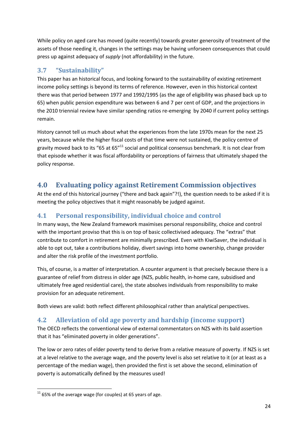While policy on aged care has moved (quite recently) towards greater generosity of treatment of the assets of those needing it, changes in the settings may be having unforseen consequences that could press up against adequacy of *supply* (not affordability) in the future.

# <span id="page-23-0"></span>**3.7 "Sustainability"**

This paper has an historical focus, and looking forward to the sustainability of existing retirement income policy settings is beyond its terms of reference. However, even in this historical context there was that period between 1977 and 1992/1995 (as the age of eligibility was phased back up to 65) when public pension expenditure was between 6 and 7 per cent of GDP, and the projections in the 2010 triennial review have similar spending ratios re-emerging by 2040 if current policy settings remain.

History cannot tell us much about what the experiences from the late 1970s mean for the next 25 years, because while the higher fiscal costs of that time were not sustained, the policy centre of gravity moved back to its "65 at 65"<sup>11</sup> social and political consensus benchmark. It is not clear from that episode whether it was fiscal affordability or perceptions of fairness that ultimately shaped the policy response.

# <span id="page-23-1"></span>**4.0 Evaluating policy against Retirement Commission objectives**

At the end of this historical journey ("there and back again"?!), the question needs to be asked if it is meeting the policy objectives that it might reasonably be judged against.

# <span id="page-23-2"></span>**4.1 Personal responsibility, individual choice and control**

In many ways, the New Zealand framework maximises personal responsibility, choice and control with the important proviso that this is on top of basic collectivised adequacy. The "extras" that contribute to comfort in retirement are minimally prescribed. Even with KiwiSaver, the individual is able to opt out, take a contributions holiday, divert savings into home ownership, change provider and alter the risk profile of the investment portfolio.

This, of course, is a matter of interpretation. A counter argument is that precisely because there is a guarantee of relief from distress in older age (NZS, public health, in-home care, subsidised and ultimately free aged residential care), the state absolves individuals from responsibility to make provision for an adequate retirement.

Both views are valid: both reflect different philosophical rather than analytical perspectives.

### <span id="page-23-3"></span>**4.2 Alleviation of old age poverty and hardship (income support)**

The OECD reflects the conventional view of external commentators on NZS with its bald assertion that it has "eliminated poverty in older generations".

The low or zero rates of elder poverty tend to derive from a relative measure of poverty. If NZS is set at a level relative to the average wage, and the poverty level is also set relative to it (or at least as a percentage of the median wage), then provided the first is set above the second, elimination of poverty is automatically defined by the measures used!

**<sup>.</sup>**  $11$  65% of the average wage (for couples) at 65 years of age.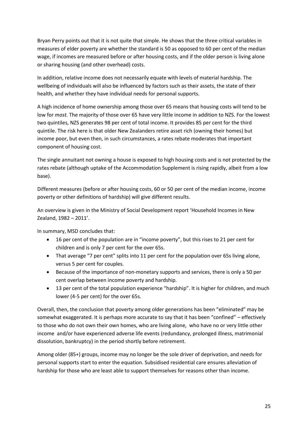Bryan Perry points out that it is not quite that simple. He shows that the three critical variables in measures of elder poverty are whether the standard is 50 as opposed to 60 per cent of the median wage, if incomes are measured before or after housing costs, and if the older person is living alone or sharing housing (and other overhead) costs.

In addition, relative income does not necessarily equate with levels of material hardship. The wellbeing of individuals will also be influenced by factors such as their assets, the state of their health, and whether they have individual needs for personal supports.

A high incidence of home ownership among those over 65 means that housing costs will tend to be low for *most.* The majority of those over 65 have very little income in addition to NZS. For the lowest two quintiles, NZS generates 98 per cent of total income. It provides 85 per cent for the third quintile. The risk here is that older New Zealanders retire asset rich (owning their homes) but income poor, but even then, in such circumstances, a rates rebate moderates that important component of housing cost.

The single annuitant not owning a house is exposed to high housing costs and is not protected by the rates rebate (although uptake of the Accommodation Supplement is rising rapidly, albeit from a low base).

Different measures (before or after housing costs, 60 or 50 per cent of the median income, income poverty or other definitions of hardship) will give different results.

An overview is given in the Ministry of Social Development report 'Household Incomes in New Zealand, 1982 – 2011'.

In summary, MSD concludes that:

- 16 per cent of the population are in "income poverty", but this rises to 21 per cent for children and is only 7 per cent for the over 65s.
- That average "7 per cent" splits into 11 per cent for the population over 65s living alone, versus 5 per cent for couples.
- Because of the importance of non-monetary supports and services, there is only a 50 per cent overlap between income poverty and hardship.
- 13 per cent of the total population experience "hardship". It is higher for children, and much lower (4-5 per cent) for the over 65s.

Overall, then, the conclusion that poverty among older generations has been "eliminated" may be somewhat exaggerated. It is perhaps more accurate to say that it has been "confined" – effectively to those who do not own their own homes, who are living alone, who have no or very little other income and/or have experienced adverse life events (redundancy, prolonged illness, matrimonial dissolution, bankruptcy) in the period shortly before retirement.

Among older (85+) groups, income may no longer be the sole driver of deprivation, and needs for personal supports start to enter the equation. Subsidised residential care ensures alleviation of hardship for those who are least able to support themselves for reasons other than income.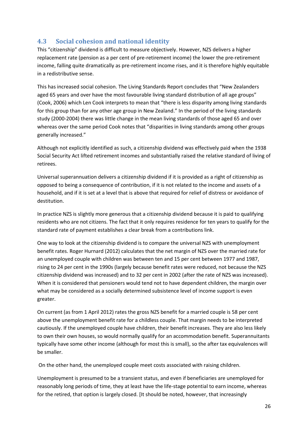### <span id="page-25-0"></span>**4.3 Social cohesion and national identity**

This "citizenship" dividend is difficult to measure objectively. However, NZS delivers a higher replacement rate (pension as a per cent of pre-retirement income) the lower the pre-retirement income, falling quite dramatically as pre-retirement income rises, and it is therefore highly equitable in a redistributive sense.

This has increased social cohesion. The Living Standards Report concludes that "New Zealanders aged 65 years and over have the most favourable living standard distribution of all age groups" (Cook, 2006) which Len Cook interprets to mean that "there is less disparity among living standards for this group than for any other age group in New Zealand." In the period of the living standards study (2000-2004) there was little change in the mean living standards of those aged 65 and over whereas over the same period Cook notes that "disparities in living standards among other groups generally increased."

Although not explicitly identified as such, a citizenship dividend was effectively paid when the 1938 Social Security Act lifted retirement incomes and substantially raised the relative standard of living of retirees.

Universal superannuation delivers a citizenship dividend if it is provided as a right of citizenship as opposed to being a consequence of contribution, if it is not related to the income and assets of a household, and if it is set at a level that is above that required for relief of distress or avoidance of destitution.

In practice NZS is slightly more generous that a citizenship dividend because it is paid to qualifying residents who are not citizens. The fact that it only requires residence for ten years to qualify for the standard rate of payment establishes a clear break from a contributions link.

One way to look at the citizenship dividend is to compare the universal NZS with unemployment benefit rates. Roger Hurnard (2012) calculates that the net margin of NZS over the married rate for an unemployed couple with children was between ten and 15 per cent between 1977 and 1987, rising to 24 per cent in the 1990s (largely because benefit rates were reduced, not because the NZS citizenship dividend was increased) and to 32 per cent in 2002 (after the rate of NZS was increased). When it is considered that pensioners would tend not to have dependent children, the margin over what may be considered as a socially determined subsistence level of income support is even greater.

On current (as from 1 April 2012) rates the gross NZS benefit for a married couple is 58 per cent above the unemployment benefit rate for a childless couple. That margin needs to be interpreted cautiously. If the unemployed couple have children, their benefit increases. They are also less likely to own their own houses, so would normally qualify for an accommodation benefit. Superannuitants typically have some other income (although for most this is small), so the after tax equivalences will be smaller.

On the other hand, the unemployed couple meet costs associated with raising children.

Unemployment is presumed to be a transient status, and even if beneficiaries are unemployed for reasonably long periods of time, they at least have the life-stage potential to earn income, whereas for the retired, that option is largely closed. [It should be noted, however, that increasingly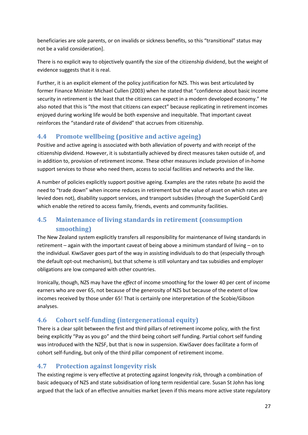beneficiaries are sole parents, or on invalids or sickness benefits, so this "transitional" status may not be a valid consideration].

There is no explicit way to objectively quantify the size of the citizenship dividend, but the weight of evidence suggests that it is real.

Further, it is an explicit element of the policy justification for NZS. This was best articulated by former Finance Minister Michael Cullen (2003) when he stated that "confidence about basic income security in retirement is the least that the citizens can expect in a modern developed economy." He also noted that this is "the most that citizens can expect" because replicating in retirement incomes enjoyed during working life would be both expensive and inequitable. That important caveat reinforces the "standard rate of dividend" that accrues from citizenship.

### <span id="page-26-0"></span>**4.4 Promote wellbeing (positive and active ageing)**

Positive and active ageing is associated with both alleviation of poverty and with receipt of the citizenship dividend. However, it is substantially achieved by direct measures taken outside of, and in addition to, provision of retirement income. These other measures include provision of in-home support services to those who need them, access to social facilities and networks and the like.

A number of policies explicitly support positive ageing. Examples are the rates rebate (to avoid the need to "trade down" when income reduces in retirement but the value of asset on which rates are levied does not), disability support services, and transport subsidies (through the SuperGold Card) which enable the retired to access family, friends, events and community facilities.

# <span id="page-26-1"></span>**4.5 Maintenance of living standards in retirement (consumption smoothing)**

The New Zealand system explicitly transfers all responsibility for maintenance of living standards in retirement – again with the important caveat of being above a minimum standard of living – on to the individual. KiwiSaver goes part of the way in assisting individuals to do that (especially through the default opt-out mechanism), but that scheme is still voluntary and tax subsidies and employer obligations are low compared with other countries.

Ironically, though, NZS may have the *effect* of income smoothing for the lower 40 per cent of income earners who are over 65, not because of the generosity of NZS but because of the extent of low incomes received by those under 65! That is certainly one interpretation of the Scobie/Gibson analyses.

# <span id="page-26-2"></span>**4.6 Cohort self-funding (intergenerational equity)**

There is a clear split between the first and third pillars of retirement income policy, with the first being explicitly "Pay as you go" and the third being cohort self funding. Partial cohort self funding was introduced with the NZSF, but that is now in suspension. KiwiSaver does facilitate a form of cohort self-funding, but only of the third pillar component of retirement income.

### <span id="page-26-3"></span>**4.7 Protection against longevity risk**

The existing regime is very effective at protecting against longevity risk, through a combination of basic adequacy of NZS and state subsidisation of long term residential care. Susan St John has long argued that the lack of an effective annuities market (even if this means more active state regulatory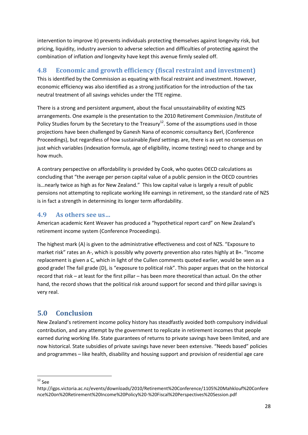intervention to improve it) prevents individuals protecting themselves against longevity risk, but pricing, liquidity, industry aversion to adverse selection and difficulties of protecting against the combination of inflation *and* longevity have kept this avenue firmly sealed off.

### <span id="page-27-0"></span>**4.8 Economic and growth efficiency (fiscal restraint and investment)**

This is identified by the Commission as equating with fiscal restraint and investment. However, economic efficiency was also identified as a strong justification for the introduction of the tax neutral treatment of all savings vehicles under the TTE regime.

There is a strong and persistent argument, about the fiscal unsustainability of existing NZS arrangements. One example is the presentation to the 2010 Retirement Commission /Institute of Policy Studies forum by the Secretary to the Treasury<sup>12</sup>. Some of the assumptions used in those projections have been challenged by Ganesh Nana of economic consultancy Berl, (Conference Proceedings), but regardless of how sustainable *fixed* settings are, there is as yet no consensus on just which variables (indexation formula, age of eligibility, income testing) need to change and by how much.

A contrary perspective on affordability is provided by Cook, who quotes OECD calculations as concluding that "the average per person capital value of a public pension in the OECD countries is…nearly twice as high as for New Zealand." This low capital value is largely a result of public pensions not attempting to replicate working life earnings in retirement, so the standard rate of NZS is in fact a strength in determining its longer term affordability.

### <span id="page-27-1"></span>**4.9 As others see us…**

American academic Kent Weaver has produced a "hypothetical report card" on New Zealand's retirement income system (Conference Proceedings).

The highest mark (A) is given to the administrative effectiveness and cost of NZS. "Exposure to market risk" rates an A-, which is possibly why poverty prevention also rates highly at B+. "Income replacement is given a C, which in light of the Cullen comments quoted earlier, would be seen as a good grade! The fail grade (D), is "exposure to political risk". This paper argues that on the historical record that risk – at least for the first pillar – has been more theoretical than actual. On the other hand, the record shows that the political risk around support for second and third pillar savings is very real.

# <span id="page-27-2"></span>**5.0 Conclusion**

New Zealand's retirement income policy history has steadfastly avoided both compulsory individual contribution, and any attempt by the government to replicate in retirement incomes that people earned during working life. State guarantees of returns to private savings have been limited, and are now historical. State subsidies of private savings have never been extensive. "Needs based" policies and programmes – like health, disability and housing support and provision of residential age care

**.**  $12$  See

http://igps.victoria.ac.nz/events/downloads/2010/Retirement%20Conference/1105%20Mahklouf%20Confere nce%20on%20Retirement%20Income%20Policy%20-%20Fiscal%20Perspectives%20Session.pdf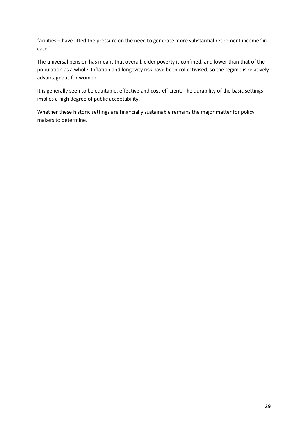facilities – have lifted the pressure on the need to generate more substantial retirement income "in case".

The universal pension has meant that overall, elder poverty is confined, and lower than that of the population as a whole. Inflation and longevity risk have been collectivised, so the regime is relatively advantageous for women.

It is generally seen to be equitable, effective and cost-efficient. The durability of the basic settings implies a high degree of public acceptability.

Whether these historic settings are financially sustainable remains the major matter for policy makers to determine.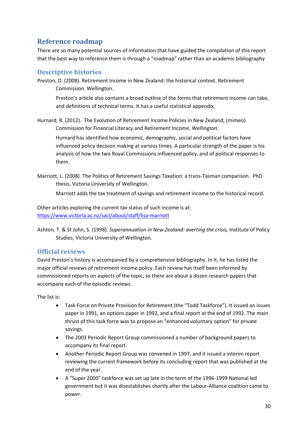# <span id="page-29-0"></span>**Reference roadmap**

There are so many potential sources of information that have guided the compilation of this report that the best way to reference them is through a "roadmap" rather than an academic bibliography

#### <span id="page-29-1"></span>**Descriptive histories**

Preston, D. (2008). Retirement Income in New Zealand: the historical context. Retirement Commission. Wellington.

Preston's article also contains a broad outline of the forms that retirement income can take, and definitions of technical terms. It has a useful statistical appendix.

Hurnard, R. (2012). The Evolution of Retirement Income Policies in New Zealand, (mimeo) Commission for Financial Literacy and Retirement Income, Wellington. Hurnard has identified how economic, demographic, social and political factors have

influenced policy decision making at various times. A particular strength of the paper is his analysis of how the two Royal Commissions influenced policy, and of political responses to them.

Marriott, L. (2008). The Politics of Retirement Savings Taxation: a trans-Tasman comparison. PhD thesis, Victoria University of Wellington.

Marriott adds the tax treatment of savings and retirement income to the historical record.

Other articles exploring the current tax status of such income is at: <https://www.victoria.ac.nz/sacl/about/staff/lisa-marriott>

Ashton, T. & St John, S. (1998). *Superannuation in New Zealand: averting the crisis,* Institute of Policy Studies, Victoria University of Wellington.

#### <span id="page-29-2"></span>**Official reviews**

David Preston's history is accompanied by a comprehensive bibliography. In it, he has listed the major official reviews of retirement income policy. Each review has itself been informed by commissioned reports on aspects of the topic, so there are about a dozen research papers that accompany each of the episodic reviews.

The list is:

- Task Force on Private Provision for Retirement (the "Todd Taskforce"). It issued an issues paper in 1991, an options paper in 1992, and a final report at the end of 1992. The main thrust of this task force was to propose an "enhanced voluntary option" for private savings.
- The 2003 Periodic Report Group commissioned a number of background papers to accompany its final report.
- Another Periodic Report Group was convened in 1997, and it issued a interim report reviewing the current framework before its concluding report that was published at the end of the year.
- A "Super 2000" taskforce was set up late in the term of the 1996-1999 National led government but it was disestablishes shortly after the Labour-Alliance coalition came to power.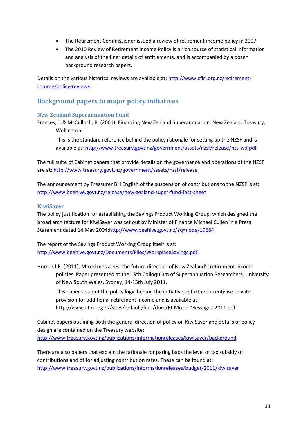- The Retirement Commissioner issued a review of retirement income policy in 2007.
- The 2010 Review of Retirement Income Policy is a rich source of statistical information and analysis of the finer details of entitlements, and is accompanied by a dozen background research papers.

Details on the various historical reviews are available at: [http://www.cflri.org.nz/retirement](http://www.cflri.org.nz/retirement-income/policy-reviews)[income/policy-reviews](http://www.cflri.org.nz/retirement-income/policy-reviews)

### <span id="page-30-0"></span>**Background papers to major policy initiatives**

#### <span id="page-30-1"></span>**New Zealand Superannuation Fund**

Frances, J. & McCulloch, B. (2001). Financing New Zealand Superannuation. New Zealand Treasury, Wellington.

This is the standard reference behind the policy rationale for setting up the NZSF and is available at: <http://www.treasury.govt.nz/government/assets/nzsf/release/nzs-wd.pdf>

The full suite of Cabinet papers that provide details on the governance and operations of the NZSF are at: <http://www.treasury.govt.nz/government/assets/nzsf/release>

The announcement by Treasurer Bill English of the suspension of contributions to the NZSF is at: <http://www.beehive.govt.nz/release/new-zealand-super-fund-fact-sheet>

#### <span id="page-30-2"></span>**KiwiSaver**

The policy justification for establishing the Savings Product Working Group, which designed the broad architecture for KiwiSaver was set out by Minister of Finance Michael Cullen in a Press Statement dated 14 May 2004[:http://www.beehive.govt.nz/?q=node/19684](http://www.beehive.govt.nz/?q=node/19684)

The report of the Savings Product Working Group itself is at: <http://www.beehive.govt.nz/Documents/Files/WorkplaceSavings.pdf>

Hurnard R. (2011). Mixed messages: the future direction of New Zealand's retirement income policies. Paper presented at the 19th Colloquium of Superannuation Researchers, University of New South Wales, Sydney, 14-15th July 2011.

This paper sets out the policy logic behind the initiative to further incentivise private provision for additional retirement income and is available at: <http://www.cflri.org.nz/sites/default/files/docs/RI-Mixed-Messages-2011.pdf>

Cabinet papers outlining both the general direction of policy on KiwiSaver and details of policy design are contained on the Treasury website:

<http://www.treasury.govt.nz/publications/informationreleases/kiwisaver/background>

There are also papers that explain the rationale for paring back the level of tax subsidy of contributions and of for adjusting contribution rates. These can be found at: <http://www.treasury.govt.nz/publications/informationreleases/budget/2011/kiwisaver>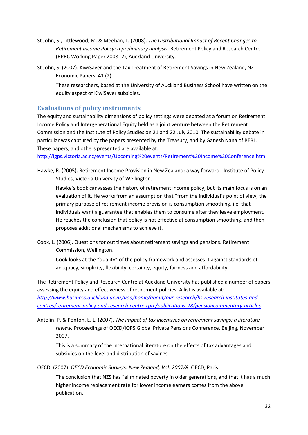- St John, S., Littlewood, M. & Meehan, L. (2008). *The Distributional Impact of Recent Changes to Retirement Income Policy: a preliminary analysis.* Retirement Policy and Research Centre (RPRC Working Paper 2008 -2), Auckland University.
- St John, S. (2007). KiwiSaver and the Tax Treatment of Retirement Savings in New Zealand, NZ Economic Papers, 41 (2).

These researchers, based at the University of Auckland Business School have written on the equity aspect of KiwiSaver subsidies.

#### <span id="page-31-0"></span>**Evaluations of policy instruments**

The equity and sustainability dimensions of policy settings were debated at a forum on Retirement Income Policy and Intergenerational Equity held as a joint venture between the Retirement Commission and the Institute of Policy Studies on 21 and 22 July 2010. The sustainability debate in particular was captured by the papers presented by the Treasury, and by Ganesh Nana of BERL. These papers, and others presented are available at:

<http://igps.victoria.ac.nz/events/Upcoming%20events/Retirement%20Income%20Conference.html>

Hawke, R. (2005). Retirement Income Provision in New Zealand: a way forward. Institute of Policy Studies, Victoria University of Wellington.

Hawke's book canvasses the history of retirement income policy, but its main focus is on an evaluation of it. He works from an assumption that "from the individual's point of view, the primary purpose of retirement income provision is consumption smoothing, i.e. that individuals want a guarantee that enables them to consume after they leave employment." He reaches the conclusion that policy is not effective at consumption smoothing, and then proposes additional mechanisms to achieve it.

Cook, L. (2006). Questions for out times about retirement savings and pensions. Retirement Commission, Wellington.

Cook looks at the "quality" of the policy framework and assesses it against standards of adequacy, simplicity, flexibility, certainty, equity, fairness and affordability.

The Retirement Policy and Research Centre at Auckland University has published a number of papers assessing the equity and effectiveness of retirement policies. A list is available at: *[http://www.business.auckland.ac.nz/uoa/home/about/our-research/bs-research-institutes-and](http://www.business.auckland.ac.nz/uoa/home/about/our-research/bs-research-institutes-and-centres/retirement-policy-and-research-centre-rprc/publications-28/pensioncommentary-articles)[centres/retirement-policy-and-research-centre-rprc/publications-28/pensioncommentary-articles](http://www.business.auckland.ac.nz/uoa/home/about/our-research/bs-research-institutes-and-centres/retirement-policy-and-research-centre-rprc/publications-28/pensioncommentary-articles)*

Antolin, P. & Ponton, E. L. (2007). *The impact of tax incentives on retirement savings: a literature review.* Proceedings of OECD/IOPS Global Private Pensions Conference, Beijing, November 2007.

This is a summary of the international literature on the effects of tax advantages and subsidies on the level and distribution of savings.

OECD. (2007). *OECD Economic Surveys: New Zealand, Vol. 2007/8.* OECD, Paris.

The conclusion that NZS has "eliminated poverty in older generations, and that it has a much higher income replacement rate for lower income earners comes from the above publication.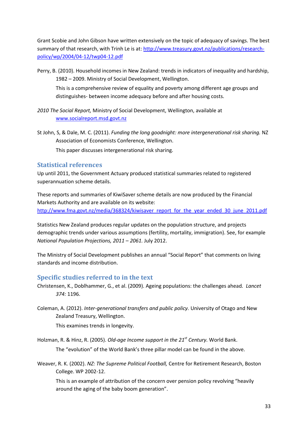Grant Scobie and John Gibson have written extensively on the topic of adequacy of savings. The best summary of that research, with Trinh Le is at: [http://www.treasury.govt.nz/publications/research](http://www.treasury.govt.nz/publications/research-policy/wp/2004/04-12/twp04-12.pdf)[policy/wp/2004/04-12/twp04-12.pdf](http://www.treasury.govt.nz/publications/research-policy/wp/2004/04-12/twp04-12.pdf)

Perry, B. (2010). Household incomes in New Zealand: trends in indicators of inequality and hardship, 1982 – 2009. Ministry of Social Development, Wellington.

This is a comprehensive review of equality and poverty among different age groups and distinguishes- between income adequacy before and after housing costs.

- *2010 The Social Report,* Ministry of Social Development, Wellington, available at [www.socialreport.msd.govt.nz](http://www.socialreport.msd.govt.nz/)
- St John, S, & Dale, M. C. (2011). *Funding the long goodnight: more intergenerational risk sharing.* NZ Association of Economists Conference, Wellington.

This paper discusses intergenerational risk sharing.

#### <span id="page-32-0"></span>**Statistical references**

Up until 2011, the Government Actuary produced statistical summaries related to registered superannuation scheme details.

These reports and summaries of KiwiSaver scheme details are now produced by the Financial Markets Authority and are available on its website: [http://www.fma.govt.nz/media/368324/kiwisaver\\_report\\_for\\_the\\_year\\_ended\\_30\\_june\\_2011.pdf](http://www.fma.govt.nz/media/368324/kiwisaver_report_for_the_year_ended_30_june_2011.pdf)

Statistics New Zealand produces regular updates on the population structure, and projects demographic trends under various assumptions (fertility, mortality, immigration). See, for example *National Population Projections, 2011 – 2061.* July 2012.

The Ministry of Social Development publishes an annual "Social Report" that comments on living standards and income distribution.

#### <span id="page-32-1"></span>**Specific studies referred to in the text**

- Christensen, K., Doblhammer, G., et al. (2009). Ageing populations: the challenges ahead*. Lancet 374:* 1196.
- Coleman, A. (2012). *Inter-generational transfers and public policy.* University of Otago and New Zealand Treasury, Wellington.

This examines trends in longevity.

Holzman, R. & Hinz, R. (2005). *Old-age Income support in the 21st Century.* World Bank.

The "evolution" of the World Bank's three pillar model can be found in the above.

Weaver, R. K. (2002). *NZ: The Supreme Political Football,* Centre for Retirement Research, Boston College. WP 2002-12.

This is an example of attribution of the concern over pension policy revolving "heavily around the aging of the baby boom generation".